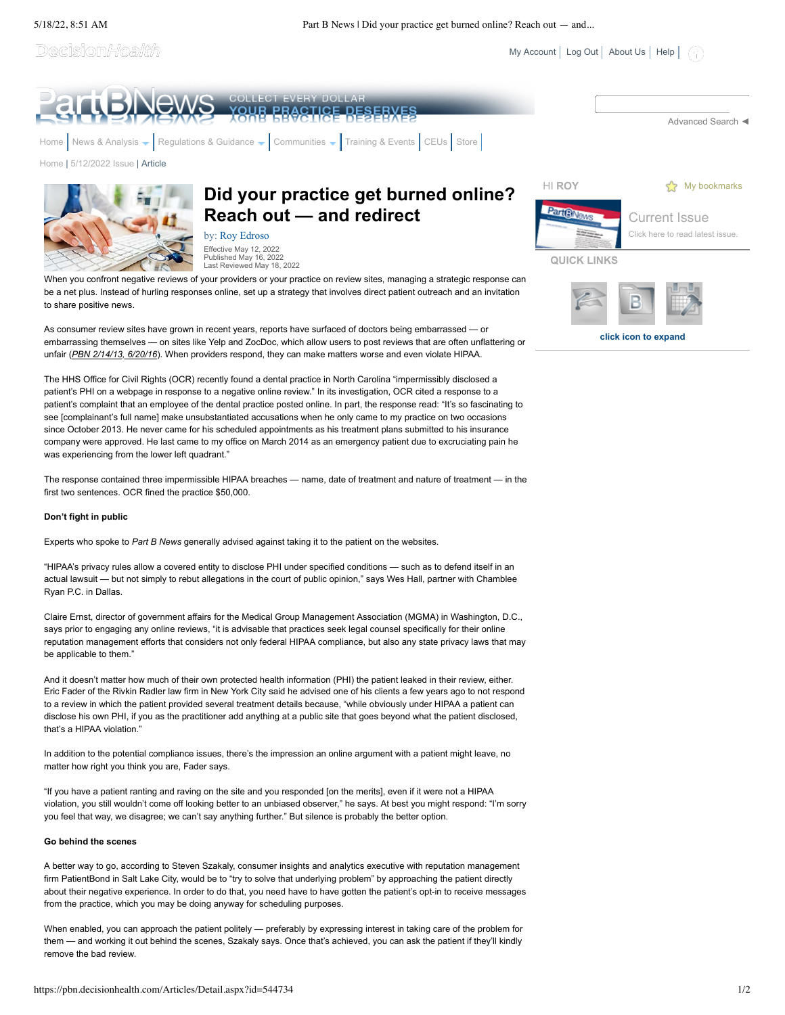Decision*Health* 



Published May 16, 2022 Last Reviewed May 18, 2022

When you confront negative reviews of your providers or your practice on review sites, managing a strategic response can be a net plus. Instead of hurling responses online, set up a strategy that involves direct patient outreach and an invitation to share positive news.

As consumer review sites have grown in recent years, reports have surfaced of doctors being embarrassed — or embarrassing themselves — on sites like Yelp and ZocDoc, which allow users to post reviews that are often unflattering or unfair (*PBN 2/14/13, 6/20/16*). When providers respond, they can make matters worse and even violate HIPAA.

The HHS Office for Civil Rights (OCR) recently found a dental practice in North Carolina "impermissibly disclosed a patient's PHI on a webpage in response to a negative online review." In its investigation, OCR cited a response to a patient's complaint that an employee of the dental practice posted online. In part, the response read: "It's so fascinating to see [complainant's full name] make unsubstantiated accusations when he only came to my practice on two occasions since October 2013. He never came for his scheduled appointments as his treatment plans submitted to his insurance company were approved. He last came to my office on March 2014 as an emergency patient due to excruciating pain he was experiencing from the lower left quadrant."

The response contained three impermissible HIPAA breaches — name, date of treatment and nature of treatment — in the first two sentences. OCR fined the practice \$50,000.

## **Don't fight in public**

Experts who spoke to *Part B News* generally advised against taking it to the patient on the websites.

"HIPAA's privacy rules allow a covered entity to disclose PHI under specified conditions — such as to defend itself in an actual lawsuit — but not simply to rebut allegations in the court of public opinion," says Wes Hall, partner with Chamblee Ryan P.C. in Dallas.

Claire Ernst, director of government affairs for the Medical Group Management Association (MGMA) in Washington, D.C., says prior to engaging any online reviews, "it is advisable that practices seek legal counsel specifically for their online reputation management efforts that considers not only federal HIPAA compliance, but also any state privacy laws that may be applicable to them."

And it doesn't matter how much of their own protected health information (PHI) the patient leaked in their review, either. Eric Fader of the Rivkin Radler law firm in New York City said he advised one of his clients a few years ago to not respond to a review in which the patient provided several treatment details because, "while obviously under HIPAA a patient can disclose his own PHI, if you as the practitioner add anything at a public site that goes beyond what the patient disclosed, that's a HIPAA violation."

In addition to the potential compliance issues, there's the impression an online argument with a patient might leave, no matter how right you think you are, Fader says.

"If you have a patient ranting and raving on the site and you responded [on the merits], even if it were not a HIPAA violation, you still wouldn't come off looking better to an unbiased observer," he says. At best you might respond: "I'm sorry you feel that way, we disagree; we can't say anything further." But silence is probably the better option.

### **Go behind the scenes**

A better way to go, according to Steven Szakaly, consumer insights and analytics executive with reputation management firm PatientBond in Salt Lake City, would be to "try to solve that underlying problem" by approaching the patient directly about their negative experience. In order to do that, you need have to have gotten the patient's opt-in to receive messages from the practice, which you may be doing anyway for scheduling purposes.

When enabled, you can approach the patient politely — preferably by expressing interest in taking care of the problem for them — and working it out behind the scenes, Szakaly says. Once that's achieved, you can ask the patient if they'll kindly remove the bad review.

**QUICK LINKS**

[My Account](https://pbn.decisionhealth.com/Account/MyAccount.aspx) | [Log Out](javascript:__doPostBack() | [About Us](https://pbn.decisionhealth.com/About/Default.aspx) | [Help](https://pbn.decisionhealth.com/About/Help.aspx) |